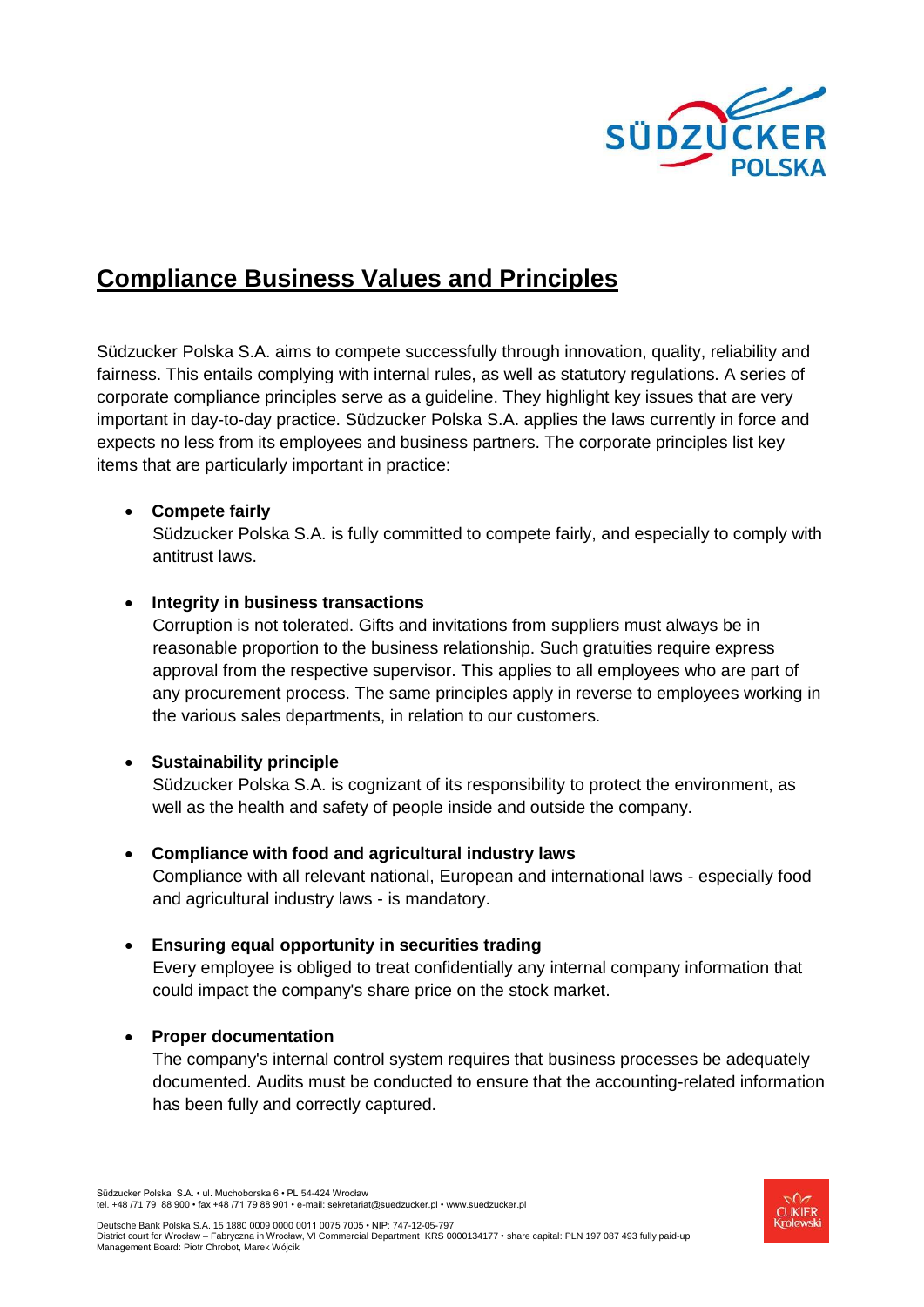

# **Compliance Business Values and Principles**

Südzucker Polska S.A. aims to compete successfully through innovation, quality, reliability and fairness. This entails complying with internal rules, as well as statutory regulations. A series of corporate compliance principles serve as a guideline. They highlight key issues that are very important in day-to-day practice. Südzucker Polska S.A. applies the laws currently in force and expects no less from its employees and business partners. The corporate principles list key items that are particularly important in practice:

# **Compete fairly**

Südzucker Polska S.A. is fully committed to compete fairly, and especially to comply with antitrust laws.

# **Integrity in business transactions**

Corruption is not tolerated. Gifts and invitations from suppliers must always be in reasonable proportion to the business relationship. Such gratuities require express approval from the respective supervisor. This applies to all employees who are part of any procurement process. The same principles apply in reverse to employees working in the various sales departments, in relation to our customers.

#### **Sustainability principle**

Südzucker Polska S.A. is cognizant of its responsibility to protect the environment, as well as the health and safety of people inside and outside the company.

# **Compliance with food and agricultural industry laws**

Compliance with all relevant national, European and international laws - especially food and agricultural industry laws - is mandatory.

#### **Ensuring equal opportunity in securities trading**

Every employee is obliged to treat confidentially any internal company information that could impact the company's share price on the stock market.

#### **Proper documentation**

The company's internal control system requires that business processes be adequately documented. Audits must be conducted to ensure that the accounting-related information has been fully and correctly captured.